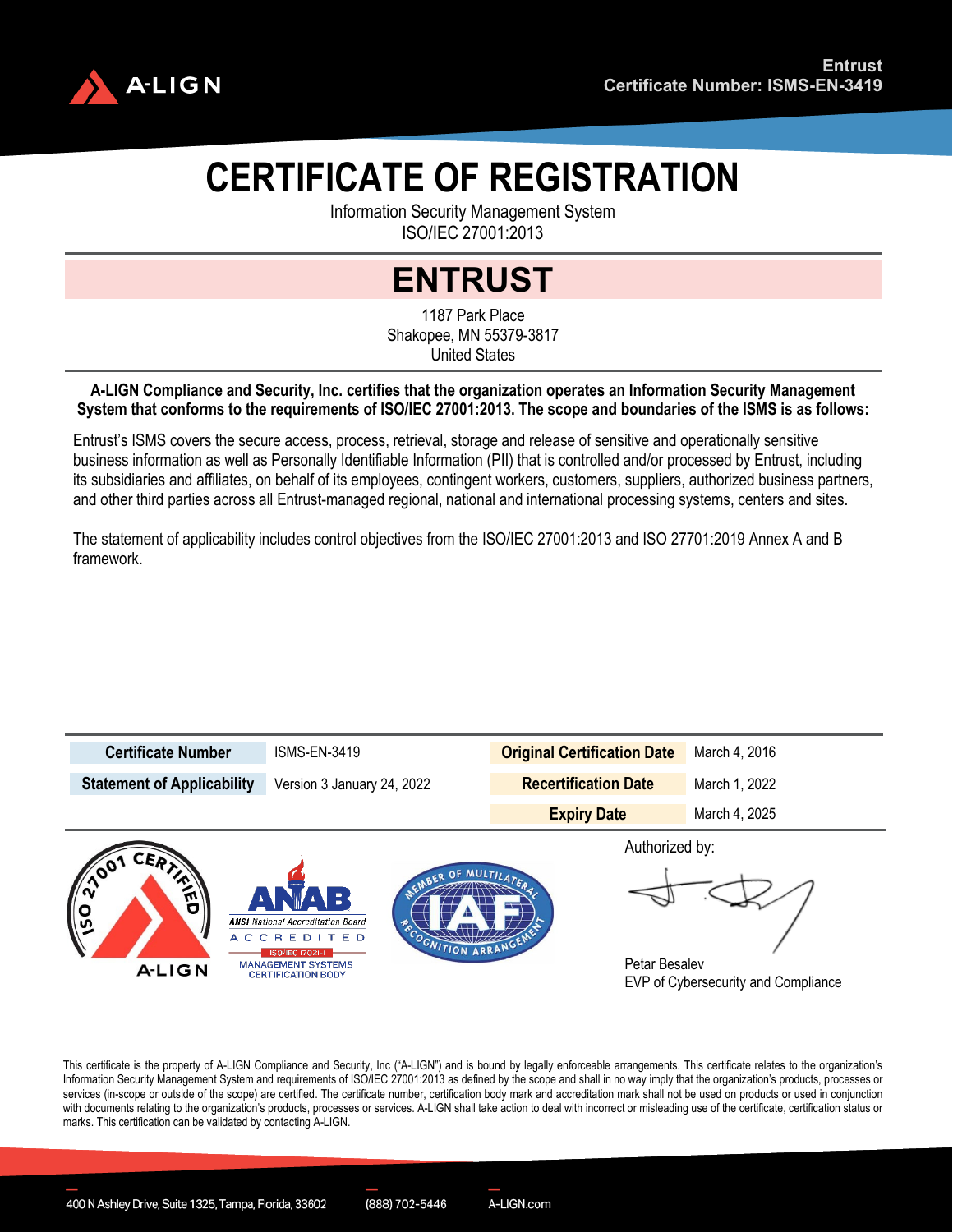

## **CERTIFICATE OF REGISTRATION**

Information Security Management System ISO/IEC 27001:2013

## **ENTRUST**

1187 Park Place Shakopee, MN 55379-3817 United States

## **A-LIGN Compliance and Security, Inc. certifies that the organization operates an Information Security Management System that conforms to the requirements of ISO/IEC 27001:2013. The scope and boundaries of the ISMS is as follows:**

Entrust's ISMS covers the secure access, process, retrieval, storage and release of sensitive and operationally sensitive business information as well as Personally Identifiable Information (PII) that is controlled and/or processed by Entrust, including its subsidiaries and affiliates, on behalf of its employees, contingent workers, customers, suppliers, authorized business partners, and other third parties across all Entrust-managed regional, national and international processing systems, centers and sites.

The statement of applicability includes control objectives from the ISO/IEC 27001:2013 and ISO 27701:2019 Annex A and B framework.



This certificate is the property of A-LIGN Compliance and Security, Inc ("A-LIGN") and is bound by legally enforceable arrangements. This certificate relates to the organization's Information Security Management System and requirements of ISO/IEC 27001:2013 as defined by the scope and shall in no way imply that the organization's products, processes or services (in-scope or outside of the scope) are certified. The certificate number, certification body mark and accreditation mark shall not be used on products or used in conjunction with documents relating to the organization's products, processes or services. A-LIGN shall take action to deal with incorrect or misleading use of the certificatio, certification status or marks. This certification can be validated by contacting A-LIGN.